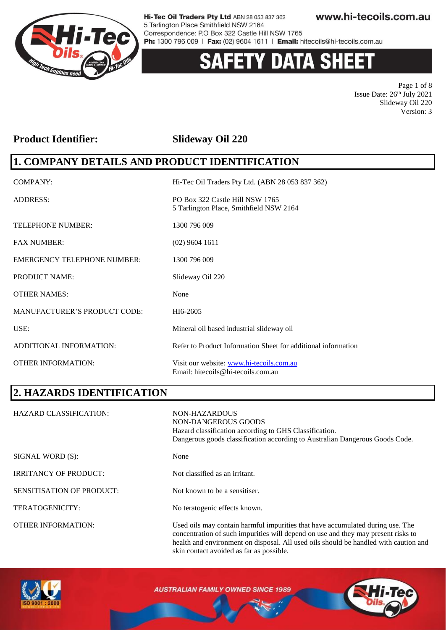

# 'Y DATA SHEET

Page 1 of 8 Issue Date:  $26<sup>th</sup>$  July 2021 Slideway Oil 220 Version: 3

### **Product Identifier: Slideway Oil 220**

### **1. COMPANY DETAILS AND PRODUCT IDENTIFICATION**

| <b>COMPANY:</b>                     | Hi-Tec Oil Traders Pty Ltd. (ABN 28 053 837 362)                               |
|-------------------------------------|--------------------------------------------------------------------------------|
| <b>ADDRESS:</b>                     | PO Box 322 Castle Hill NSW 1765<br>5 Tarlington Place, Smithfield NSW 2164     |
| <b>TELEPHONE NUMBER:</b>            | 1300 796 009                                                                   |
| <b>FAX NUMBER:</b>                  | $(02)$ 9604 1611                                                               |
| <b>EMERGENCY TELEPHONE NUMBER:</b>  | 1300 796 009                                                                   |
| <b>PRODUCT NAME:</b>                | Slideway Oil 220                                                               |
| <b>OTHER NAMES:</b>                 | None                                                                           |
| <b>MANUFACTURER'S PRODUCT CODE:</b> | HI6-2605                                                                       |
| USE:                                | Mineral oil based industrial slideway oil                                      |
| ADDITIONAL INFORMATION:             | Refer to Product Information Sheet for additional information                  |
| <b>OTHER INFORMATION:</b>           | Visit our website: www.hi-tecoils.com.au<br>Email: hitecoils@hi-tecoils.com.au |

### **2. HAZARDS IDENTIFICATION**

| <b>HAZARD CLASSIFICATION:</b>    | NON-HAZARDOUS<br>NON-DANGEROUS GOODS<br>Hazard classification according to GHS Classification.<br>Dangerous goods classification according to Australian Dangerous Goods Code.                                                                              |
|----------------------------------|-------------------------------------------------------------------------------------------------------------------------------------------------------------------------------------------------------------------------------------------------------------|
| SIGNAL WORD (S):                 | None                                                                                                                                                                                                                                                        |
| <b>IRRITANCY OF PRODUCT:</b>     | Not classified as an irritant.                                                                                                                                                                                                                              |
| <b>SENSITISATION OF PRODUCT:</b> | Not known to be a sensitiser.                                                                                                                                                                                                                               |
| <b>TERATOGENICITY:</b>           | No teratogenic effects known.                                                                                                                                                                                                                               |
| <b>OTHER INFORMATION:</b>        | Used oils may contain harmful impurities that have accumulated during use. The<br>concentration of such impurities will depend on use and they may present risks to<br>health and environment on disposal. All used oils should be handled with caution and |



**AUSTRALIAN FAMILY OWNED SINCE 1989** 

skin contact avoided as far as possible.

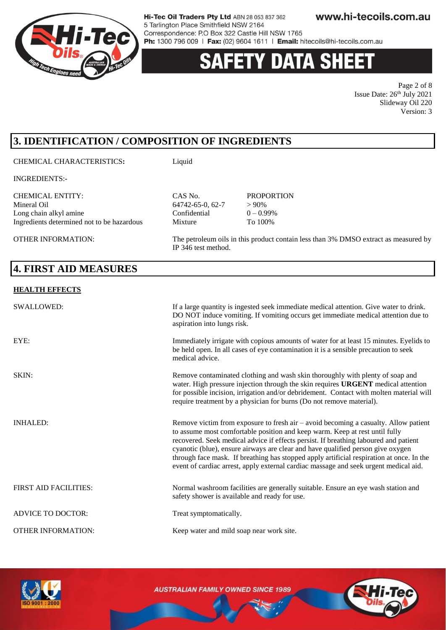

### **'Y DATA SHEE**

Page 2 of 8 Issue Date:  $26<sup>th</sup>$  July 2021 Slideway Oil 220 Version: 3

### **3. IDENTIFICATION / COMPOSITION OF INGREDIENTS**

#### CHEMICAL CHARACTERISTICS**:** Liquid

INGREDIENTS:-

CHEMICAL ENTITY: CAS No. PROPORTION Mineral Oil 64742-65-0, 62-7 > 90% Long chain alkyl amine Confidential  $0 - 0.99\%$ Ingredients determined not to be hazardous Mixture To 100%

OTHER INFORMATION: The petroleum oils in this product contain less than 3% DMSO extract as measured by

#### **4. FIRST AID MEASURES**

#### **HEALTH EFFECTS**

| SWALLOWED:                   | If a large quantity is ingested seek immediate medical attention. Give water to drink.<br>DO NOT induce vomiting. If vomiting occurs get immediate medical attention due to<br>aspiration into lungs risk.                                                                                                                                                                                                                                                                                                                        |
|------------------------------|-----------------------------------------------------------------------------------------------------------------------------------------------------------------------------------------------------------------------------------------------------------------------------------------------------------------------------------------------------------------------------------------------------------------------------------------------------------------------------------------------------------------------------------|
| EYE:                         | Immediately irrigate with copious amounts of water for at least 15 minutes. Eyelids to<br>be held open. In all cases of eye contamination it is a sensible precaution to seek<br>medical advice.                                                                                                                                                                                                                                                                                                                                  |
| SKIN:                        | Remove contaminated clothing and wash skin thoroughly with plenty of soap and<br>water. High pressure injection through the skin requires URGENT medical attention<br>for possible incision, irrigation and/or debridement. Contact with molten material will<br>require treatment by a physician for burns (Do not remove material).                                                                                                                                                                                             |
| <b>INHALED:</b>              | Remove victim from exposure to fresh air – avoid becoming a casualty. Allow patient<br>to assume most comfortable position and keep warm. Keep at rest until fully<br>recovered. Seek medical advice if effects persist. If breathing laboured and patient<br>cyanotic (blue), ensure airways are clear and have qualified person give oxygen<br>through face mask. If breathing has stopped apply artificial respiration at once. In the<br>event of cardiac arrest, apply external cardiac massage and seek urgent medical aid. |
| <b>FIRST AID FACILITIES:</b> | Normal washroom facilities are generally suitable. Ensure an eye wash station and<br>safety shower is available and ready for use.                                                                                                                                                                                                                                                                                                                                                                                                |
| <b>ADVICE TO DOCTOR:</b>     | Treat symptomatically.                                                                                                                                                                                                                                                                                                                                                                                                                                                                                                            |
| <b>OTHER INFORMATION:</b>    | Keep water and mild soap near work site.                                                                                                                                                                                                                                                                                                                                                                                                                                                                                          |

IP 346 test method.



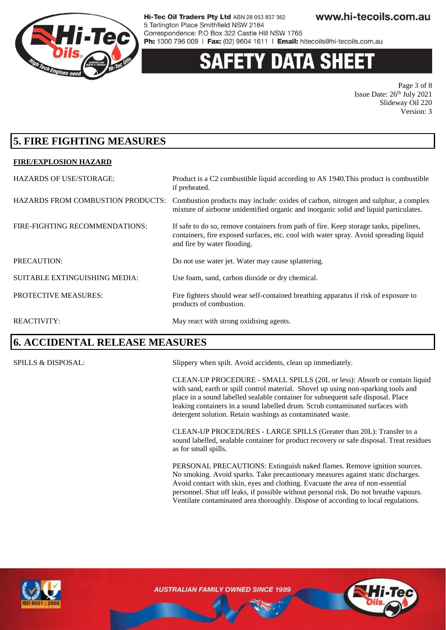

### 'Y DATA SHEI

Page 3 of 8 Issue Date:  $26<sup>th</sup>$  July 2021 Slideway Oil 220 Version: 3

### **5. FIRE FIGHTING MEASURES**

#### **FIRE/EXPLOSION HAZARD**

| <b>HAZARDS OF USE/STORAGE:</b>           | Product is a C2 combustible liquid according to AS 1940. This product is combustible<br>if preheated.                                                                                                         |
|------------------------------------------|---------------------------------------------------------------------------------------------------------------------------------------------------------------------------------------------------------------|
| <b>HAZARDS FROM COMBUSTION PRODUCTS:</b> | Combustion products may include: oxides of carbon, nitrogen and sulphur, a complex<br>mixture of airborne unidentified organic and inorganic solid and liquid particulates.                                   |
| FIRE-FIGHTING RECOMMENDATIONS:           | If safe to do so, remove containers from path of fire. Keep storage tanks, pipelines,<br>containers, fire exposed surfaces, etc. cool with water spray. Avoid spreading liquid<br>and fire by water flooding. |
| PRECAUTION:                              | Do not use water jet. Water may cause splattering.                                                                                                                                                            |
| <b>SUITABLE EXTINGUISHING MEDIA:</b>     | Use foam, sand, carbon dioxide or dry chemical.                                                                                                                                                               |
| PROTECTIVE MEASURES:                     | Fire fighters should wear self-contained breathing apparatus if risk of exposure to<br>products of combustion.                                                                                                |
| <b>REACTIVITY:</b>                       | May react with strong oxidising agents.                                                                                                                                                                       |

### **6. ACCIDENTAL RELEASE MEASURES**

SPILLS & DISPOSAL: Slippery when spilt. Avoid accidents, clean up immediately.

CLEAN-UP PROCEDURE - SMALL SPILLS (20L or less): Absorb or contain liquid with sand, earth or spill control material. Shovel up using non-sparking tools and place in a sound labelled sealable container for subsequent safe disposal. Place leaking containers in a sound labelled drum. Scrub contaminated surfaces with detergent solution. Retain washings as contaminated waste.

CLEAN-UP PROCEDURES - LARGE SPILLS (Greater than 20L): Transfer to a sound labelled, sealable container for product recovery or safe disposal. Treat residues as for small spills.

PERSONAL PRECAUTIONS: Extinguish naked flames. Remove ignition sources. No smoking. Avoid sparks. Take precautionary measures against static discharges. Avoid contact with skin, eyes and clothing. Evacuate the area of non-essential personnel. Shut off leaks, if possible without personal risk. Do not breathe vapours. Ventilate contaminated area thoroughly. Dispose of according to local regulations.



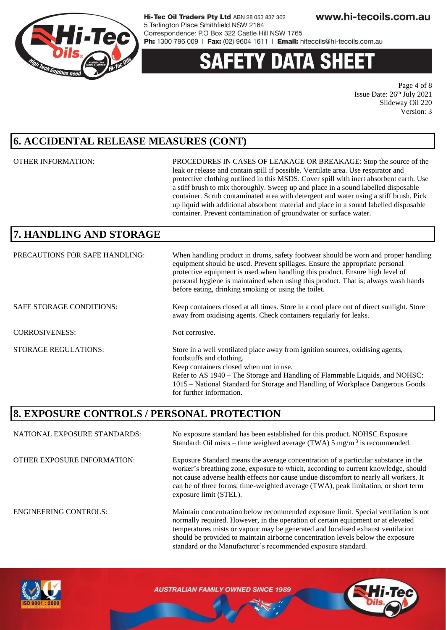

# 'Y DATA SHEE

Page 4 of 8 Issue Date:  $26<sup>th</sup>$  July 2021 Slideway Oil 220 Version: 3

### **6. ACCIDENTAL RELEASE MEASURES (CONT)**

OTHER INFORMATION: PROCEDURES IN CASES OF LEAKAGE OR BREAKAGE: Stop the source of the leak or release and contain spill if possible. Ventilate area. Use respirator and protective clothing outlined in this MSDS. Cover spill with inert absorbent earth. Use a stiff brush to mix thoroughly. Sweep up and place in a sound labelled disposable container. Scrub contaminated area with detergent and water using a stiff brush. Pick up liquid with additional absorbent material and place in a sound labelled disposable container. Prevent contamination of groundwater or surface water.

should be provided to maintain airborne concentration levels below the exposure

standard or the Manufacturer's recommended exposure standard.

### **7. HANDLING AND STORAGE**

| PRECAUTIONS FOR SAFE HANDLING:  | When handling product in drums, safety footwear should be worn and proper handling<br>equipment should be used. Prevent spillages. Ensure the appropriate personal<br>protective equipment is used when handling this product. Ensure high level of<br>personal hygiene is maintained when using this product. That is; always wash hands<br>before eating, drinking smoking or using the toilet. |
|---------------------------------|---------------------------------------------------------------------------------------------------------------------------------------------------------------------------------------------------------------------------------------------------------------------------------------------------------------------------------------------------------------------------------------------------|
| <b>SAFE STORAGE CONDITIONS:</b> | Keep containers closed at all times. Store in a cool place out of direct sunlight. Store<br>away from oxidising agents. Check containers regularly for leaks.                                                                                                                                                                                                                                     |
| <b>CORROSIVENESS:</b>           | Not corrosive.                                                                                                                                                                                                                                                                                                                                                                                    |
| <b>STORAGE REGULATIONS:</b>     | Store in a well ventilated place away from ignition sources, oxidising agents,<br>foodstuffs and clothing.<br>Keep containers closed when not in use.<br>Refer to AS 1940 – The Storage and Handling of Flammable Liquids, and NOHSC:<br>1015 – National Standard for Storage and Handling of Workplace Dangerous Goods<br>for further information.                                               |

### **8. EXPOSURE CONTROLS / PERSONAL PROTECTION**

NATIONAL EXPOSURE STANDARDS: No exposure standard has been established for this product. NOHSC Exposure Standard: Oil mists – time weighted average (TWA)  $5 \text{ mg/m}^3$  is recommended. OTHER EXPOSURE INFORMATION: Exposure Standard means the average concentration of a particular substance in the worker's breathing zone, exposure to which, according to current knowledge, should not cause adverse health effects nor cause undue discomfort to nearly all workers. It can be of three forms; time-weighted average (TWA), peak limitation, or short term exposure limit (STEL). ENGINEERING CONTROLS: Maintain concentration below recommended exposure limit. Special ventilation is not normally required. However, in the operation of certain equipment or at elevated temperatures mists or vapour may be generated and localised exhaust ventilation

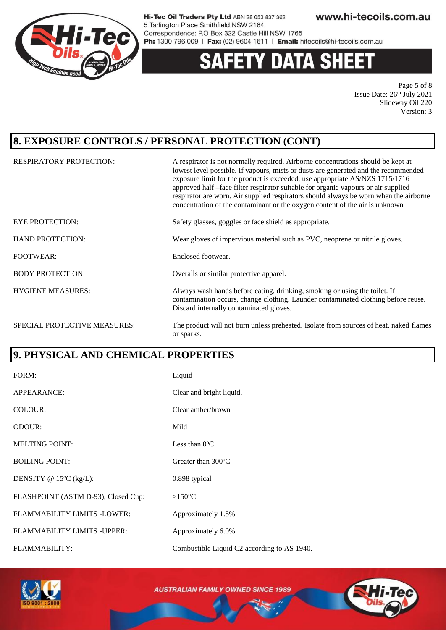

# **Y DATA SHEET**

Page 5 of 8 Issue Date:  $26<sup>th</sup>$  July 2021 Slideway Oil 220 Version: 3

### **8. EXPOSURE CONTROLS / PERSONAL PROTECTION (CONT)**

| <b>RESPIRATORY PROTECTION:</b> | A respirator is not normally required. Airborne concentrations should be kept at<br>lowest level possible. If vapours, mists or dusts are generated and the recommended<br>exposure limit for the product is exceeded, use appropriate AS/NZS 1715/1716<br>approved half -face filter respirator suitable for organic vapours or air supplied<br>respirator are worn. Air supplied respirators should always be worn when the airborne<br>concentration of the contaminant or the oxygen content of the air is unknown |
|--------------------------------|------------------------------------------------------------------------------------------------------------------------------------------------------------------------------------------------------------------------------------------------------------------------------------------------------------------------------------------------------------------------------------------------------------------------------------------------------------------------------------------------------------------------|
| <b>EYE PROTECTION:</b>         | Safety glasses, goggles or face shield as appropriate.                                                                                                                                                                                                                                                                                                                                                                                                                                                                 |
| <b>HAND PROTECTION:</b>        | Wear gloves of impervious material such as PVC, neoprene or nitrile gloves.                                                                                                                                                                                                                                                                                                                                                                                                                                            |
| <b>FOOTWEAR:</b>               | Enclosed footwear.                                                                                                                                                                                                                                                                                                                                                                                                                                                                                                     |
| <b>BODY PROTECTION:</b>        | Overalls or similar protective apparel.                                                                                                                                                                                                                                                                                                                                                                                                                                                                                |
| <b>HYGIENE MEASURES:</b>       | Always wash hands before eating, drinking, smoking or using the toilet. If<br>contamination occurs, change clothing. Launder contaminated clothing before reuse.<br>Discard internally contaminated gloves.                                                                                                                                                                                                                                                                                                            |
| SPECIAL PROTECTIVE MEASURES:   | The product will not burn unless preheated. Isolate from sources of heat, naked flames<br>or sparks.                                                                                                                                                                                                                                                                                                                                                                                                                   |

### **9. PHYSICAL AND CHEMICAL PROPERTIES**

| FORM:                               | Liquid                                      |
|-------------------------------------|---------------------------------------------|
| APPEARANCE:                         | Clear and bright liquid.                    |
| COLOUR:                             | Clear amber/brown                           |
| <b>ODOUR:</b>                       | Mild                                        |
| <b>MELTING POINT:</b>               | Less than $0^{\circ}$ C                     |
| <b>BOILING POINT:</b>               | Greater than $300^{\circ}$ C                |
| DENSITY @ $15^{\circ}$ C (kg/L):    | 0.898 typical                               |
| FLASHPOINT (ASTM D-93), Closed Cup: | $>150^{\circ}$ C                            |
| FLAMMABILITY LIMITS -LOWER:         | Approximately 1.5%                          |
| FLAMMABILITY LIMITS - UPPER:        | Approximately 6.0%                          |
| <b>FLAMMABILITY:</b>                | Combustible Liquid C2 according to AS 1940. |

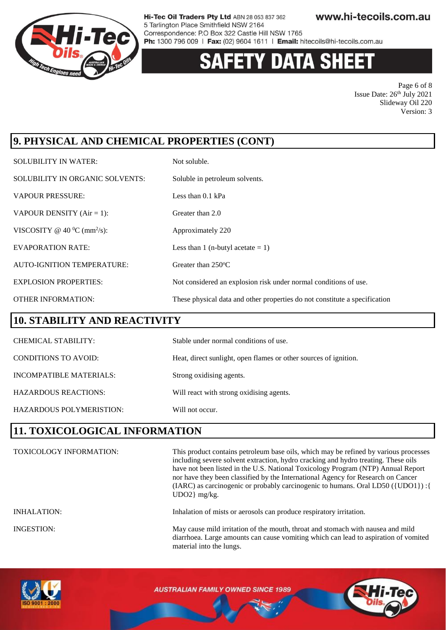

# **Y DATA SHEET**

Page 6 of 8 Issue Date:  $26<sup>th</sup>$  July 2021 Slideway Oil 220 Version: 3

### **9. PHYSICAL AND CHEMICAL PROPERTIES (CONT)**

| <b>SOLUBILITY IN WATER:</b>                | Not soluble.                                                               |
|--------------------------------------------|----------------------------------------------------------------------------|
| SOLUBILITY IN ORGANIC SOLVENTS:            | Soluble in petroleum solvents.                                             |
| <b>VAPOUR PRESSURE:</b>                    | Less than $0.1$ kPa                                                        |
| VAPOUR DENSITY $(Air = 1)$ :               | Greater than 2.0                                                           |
| VISCOSITY @ 40 $^0C$ (mm <sup>2</sup> /s): | Approximately 220                                                          |
| <b>EVAPORATION RATE:</b>                   | Less than 1 (n-butyl acetate $= 1$ )                                       |
| <b>AUTO-IGNITION TEMPERATURE:</b>          | Greater than $250^{\circ}$ C                                               |
| <b>EXPLOSION PROPERTIES:</b>               | Not considered an explosion risk under normal conditions of use.           |
| <b>OTHER INFORMATION:</b>                  | These physical data and other properties do not constitute a specification |

### **10. STABILITY AND REACTIVITY**

| <b>CHEMICAL STABILITY:</b>  | Stable under normal conditions of use.                           |
|-----------------------------|------------------------------------------------------------------|
| <b>CONDITIONS TO AVOID:</b> | Heat, direct sunlight, open flames or other sources of ignition. |
| INCOMPATIBLE MATERIALS:     | Strong oxidising agents.                                         |
| <b>HAZARDOUS REACTIONS:</b> | Will react with strong oxidising agents.                         |
| HAZARDOUS POLYMERISTION:    | Will not occur.                                                  |

### **11. TOXICOLOGICAL INFORMATION**

| <b>TOXICOLOGY INFORMATION:</b> | This product contains petroleum base oils, which may be refined by various processes<br>including severe solvent extraction, hydro cracking and hydro treating. These oils<br>have not been listed in the U.S. National Toxicology Program (NTP) Annual Report<br>nor have they been classified by the International Agency for Research on Cancer<br>(IARC) as carcinogenic or probably carcinogenic to humans. Oral LD50 ({UDO1}) : {<br>$UDO2$ } mg/kg. |
|--------------------------------|------------------------------------------------------------------------------------------------------------------------------------------------------------------------------------------------------------------------------------------------------------------------------------------------------------------------------------------------------------------------------------------------------------------------------------------------------------|
| INHALATION:                    | Inhalation of mists or aerosols can produce respiratory irritation.                                                                                                                                                                                                                                                                                                                                                                                        |
| INGESTION:                     | May cause mild irritation of the mouth, throat and stomach with nausea and mild<br>diarrhoea. Large amounts can cause vomiting which can lead to aspiration of vomited<br>material into the lungs.                                                                                                                                                                                                                                                         |

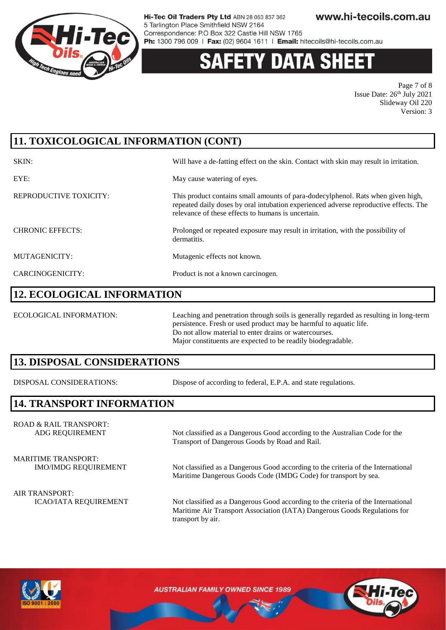

# 'Y DATA SH

Page 7 of 8 Issue Date:  $26<sup>th</sup>$  July 2021 Slideway Oil 220 Version: 3

### **11. TOXICOLOGICAL INFORMATION (CONT)**

| SKIN:                   | Will have a de-fatting effect on the skin. Contact with skin may result in irritation.                                                                                                                                          |
|-------------------------|---------------------------------------------------------------------------------------------------------------------------------------------------------------------------------------------------------------------------------|
| EYE:                    | May cause watering of eyes.                                                                                                                                                                                                     |
| REPRODUCTIVE TOXICITY:  | This product contains small amounts of para-dodecylphenol. Rats when given high,<br>repeated daily doses by oral intubation experienced adverse reproductive effects. The<br>relevance of these effects to humans is uncertain. |
| <b>CHRONIC EFFECTS:</b> | Prolonged or repeated exposure may result in irritation, with the possibility of<br>dermatitis.                                                                                                                                 |
| MUTAGENICITY:           | Mutagenic effects not known.                                                                                                                                                                                                    |
| CARCINOGENICITY:        | Product is not a known carcinogen.                                                                                                                                                                                              |

#### **12. ECOLOGICAL INFORMATION**

ECOLOGICAL INFORMATION: Leaching and penetration through soils is generally regarded as resulting in long-term persistence. Fresh or used product may be harmful to aquatic life. Do not allow material to enter drains or watercourses. Major constituents are expected to be readily biodegradable.

#### **13. DISPOSAL CONSIDERATIONS**

DISPOSAL CONSIDERATIONS: Dispose of according to federal, E.P.A. and state regulations.

### **14. TRANSPORT INFORMATION**

ROAD & RAIL TRANSPORT: ADG REQUIREMENT Not classified as a Dangerous Good according to the Australian Code for the

MARITIME TRANSPORT:

Transport of Dangerous Goods by Road and Rail.

IMO/IMDG REQUIREMENT Not classified as a Dangerous Good according to the criteria of the International Maritime Dangerous Goods Code (IMDG Code) for transport by sea.

ICAO/IATA REQUIREMENT Not classified as a Dangerous Good according to the criteria of the International Maritime Air Transport Association (IATA) Dangerous Goods Regulations for transport by air.



AIR TRANSPORT: